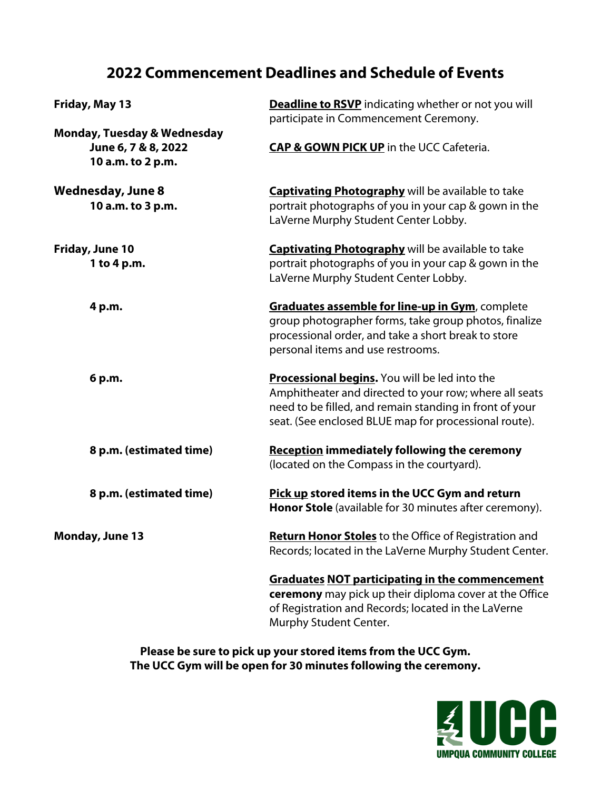# **2022 Commencement Deadlines and Schedule of Events**

| Friday, May 13                         | <b>Deadline to RSVP</b> indicating whether or not you will   |
|----------------------------------------|--------------------------------------------------------------|
|                                        | participate in Commencement Ceremony.                        |
| <b>Monday, Tuesday &amp; Wednesday</b> |                                                              |
| June 6, 7 & 8, 2022                    | <b>CAP &amp; GOWN PICK UP</b> in the UCC Cafeteria.          |
| 10 a.m. to 2 p.m.                      |                                                              |
| <b>Wednesday, June 8</b>               | <b>Captivating Photography</b> will be available to take     |
| 10 a.m. to 3 p.m.                      | portrait photographs of you in your cap & gown in the        |
|                                        | LaVerne Murphy Student Center Lobby.                         |
| Friday, June 10                        | <b>Captivating Photography</b> will be available to take     |
| 1 to 4 p.m.                            | portrait photographs of you in your cap & gown in the        |
|                                        | LaVerne Murphy Student Center Lobby.                         |
| 4 p.m.                                 | Graduates assemble for line-up in Gym, complete              |
|                                        | group photographer forms, take group photos, finalize        |
|                                        | processional order, and take a short break to store          |
|                                        | personal items and use restrooms.                            |
| 6 p.m.                                 | Processional begins. You will be led into the                |
|                                        | Amphitheater and directed to your row; where all seats       |
|                                        | need to be filled, and remain standing in front of your      |
|                                        | seat. (See enclosed BLUE map for processional route).        |
| 8 p.m. (estimated time)                | <b>Reception immediately following the ceremony</b>          |
|                                        | (located on the Compass in the courtyard).                   |
| 8 p.m. (estimated time)                | Pick up stored items in the UCC Gym and return               |
|                                        | Honor Stole (available for 30 minutes after ceremony).       |
| <b>Monday, June 13</b>                 | <b>Return Honor Stoles</b> to the Office of Registration and |
|                                        | Records; located in the LaVerne Murphy Student Center.       |
|                                        | <b>Graduates NOT participating in the commencement</b>       |
|                                        | ceremony may pick up their diploma cover at the Office       |
|                                        | of Registration and Records; located in the LaVerne          |
|                                        | Murphy Student Center.                                       |

**Please be sure to pick up your stored items from the UCC Gym. The UCC Gym will be open for 30 minutes following the ceremony.**

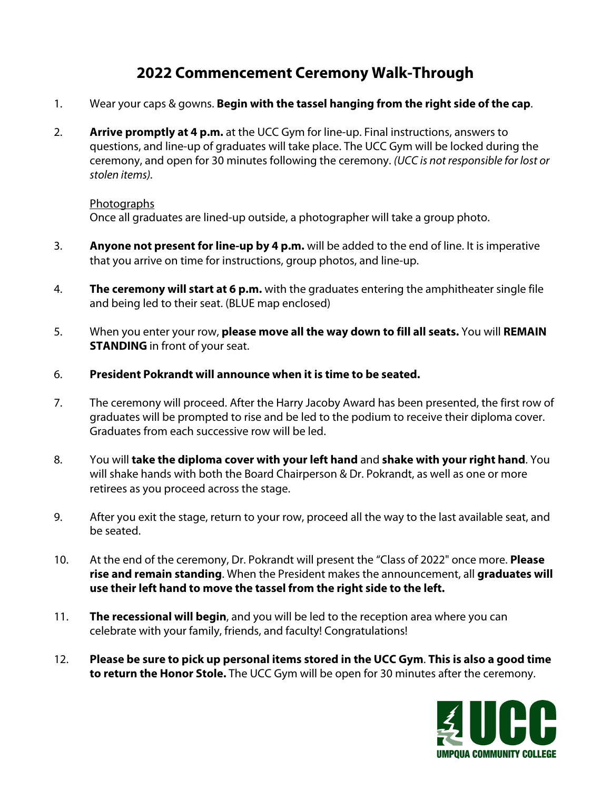# **2022 Commencement Ceremony Walk-Through**

- 1. Wear your caps & gowns. **Begin with the tassel hanging from the right side of the cap**.
- 2. **Arrive promptly at 4 p.m.** at the UCC Gym for line-up. Final instructions, answers to questions, and line-up of graduates will take place. The UCC Gym will be locked during the ceremony, and open for 30 minutes following the ceremony. *(UCC is not responsible for lost or stolen items).*

# **Photographs**

Once all graduates are lined-up outside, a photographer will take a group photo.

- 3. **Anyone not present for line-up by 4 p.m.** will be added to the end of line. It is imperative that you arrive on time for instructions, group photos, and line-up.
- 4. **The ceremony will start at 6 p.m.** with the graduates entering the amphitheater single file and being led to their seat. (BLUE map enclosed)
- 5. When you enter your row, **please move all the way down to fill all seats.** You will **REMAIN STANDING** in front of your seat.
- 6. **President Pokrandt will announce when it is time to be seated.**
- 7. The ceremony will proceed. After the Harry Jacoby Award has been presented, the first row of graduates will be prompted to rise and be led to the podium to receive their diploma cover. Graduates from each successive row will be led.
- 8. You will **take the diploma cover with your left hand** and **shake with your right hand**. You will shake hands with both the Board Chairperson & Dr. Pokrandt, as well as one or more retirees as you proceed across the stage.
- 9. After you exit the stage, return to your row, proceed all the way to the last available seat, and be seated.
- 10. At the end of the ceremony, Dr. Pokrandt will present the "Class of 2022" once more. **Please rise and remain standing**. When the President makes the announcement, all **graduates will use their left hand to move the tassel from the right side to the left.**
- 11. **The recessional will begin**, and you will be led to the reception area where you can celebrate with your family, friends, and faculty! Congratulations!
- 12. **Please be sure to pick up personal items stored in the UCC Gym**. **This is also a good time to return the Honor Stole.** The UCC Gym will be open for 30 minutes after the ceremony.

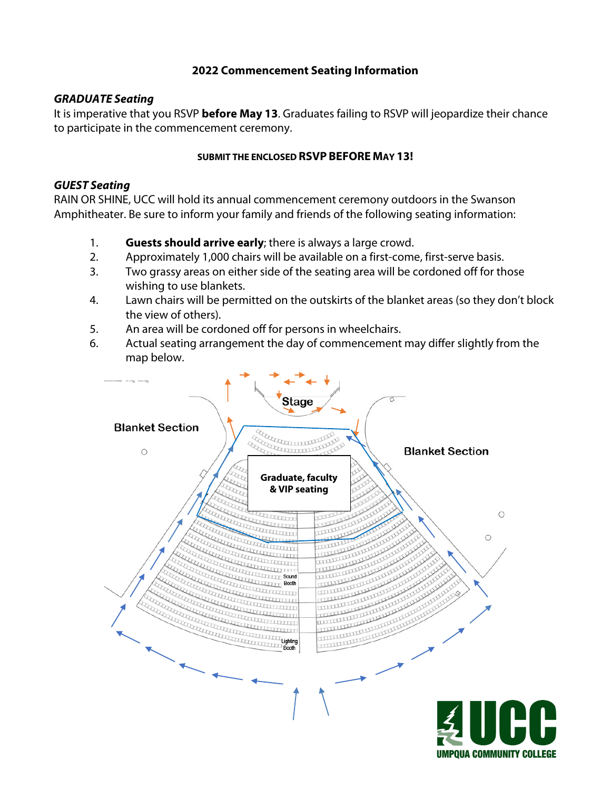# **2022 Commencement Seating Information**

# *GRADUATE Seating*

It is imperative that you RSVP **before May 13**. Graduates failing to RSVP will jeopardize their chance to participate in the commencement ceremony.

# **SUBMIT THE ENCLOSED RSVP BEFORE MAY 13!**

# *GUEST Seating*

RAIN OR SHINE, UCC will hold its annual commencement ceremony outdoors in the Swanson Amphitheater. Be sure to inform your family and friends of the following seating information:

- 1. **Guests should arrive early**; there is always a large crowd.
- 2. Approximately 1,000 chairs will be available on a first-come, first-serve basis.
- 3. Two grassy areas on either side of the seating area will be cordoned off for those wishing to use blankets.
- 4. Lawn chairs will be permitted on the outskirts of the blanket areas (so they don't block the view of others).
- 5. An area will be cordoned off for persons in wheelchairs.
- 6. Actual seating arrangement the day of commencement may differ slightly from the map below.

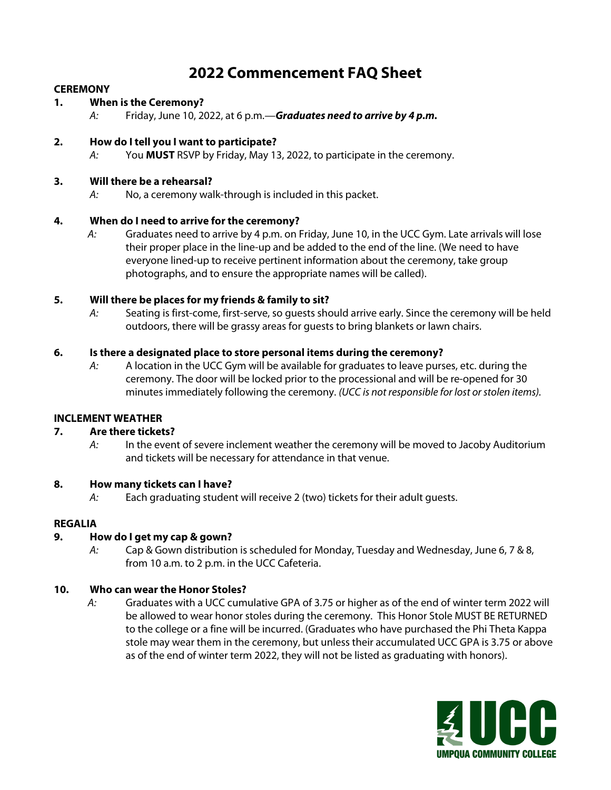# **2022 Commencement FAQ Sheet**

## **CEREMONY**

## **1. When is the Ceremony?**

*A:* Friday, June 10, 2022, at 6 p.m.—*Graduates need to arrive by 4 p.m.*

## **2. How do I tell you I want to participate?**

*A:* You **MUST** RSVP by Friday, May 13, 2022, to participate in the ceremony.

### **3. Will there be a rehearsal?**

*A:* No, a ceremony walk-through is included in this packet.

## **4. When do I need to arrive for the ceremony?**

 *A:* Graduates need to arrive by 4 p.m. on Friday, June 10, in the UCC Gym. Late arrivals will lose their proper place in the line-up and be added to the end of the line. (We need to have everyone lined-up to receive pertinent information about the ceremony, take group photographs, and to ensure the appropriate names will be called).

## **5. Will there be places for my friends & family to sit?**

*A:* Seating is first-come, first-serve, so guests should arrive early. Since the ceremony will be held outdoors, there will be grassy areas for guests to bring blankets or lawn chairs.

## **6. Is there a designated place to store personal items during the ceremony?**

*A:* A location in the UCC Gym will be available for graduates to leave purses, etc. during the ceremony. The door will be locked prior to the processional and will be re-opened for 30 minutes immediately following the ceremony. *(UCC is not responsible for lost or stolen items).*

#### **INCLEMENT WEATHER**

# **7. Are there tickets?**

*A:* In the event of severe inclement weather the ceremony will be moved to Jacoby Auditorium and tickets will be necessary for attendance in that venue.

#### **8. How many tickets can I have?**

*A:* Each graduating student will receive 2 (two) tickets for their adult guests.

#### **REGALIA**

# **9. How do I get my cap & gown?**

*A:* Cap & Gown distribution is scheduled for Monday, Tuesday and Wednesday, June 6, 7 & 8, from 10 a.m. to 2 p.m. in the UCC Cafeteria.

# **10. Who can wear the Honor Stoles?**

 *A:* Graduates with a UCC cumulative GPA of 3.75 or higher as of the end of winter term 2022 will be allowed to wear honor stoles during the ceremony. This Honor Stole MUST BE RETURNED to the college or a fine will be incurred. (Graduates who have purchased the Phi Theta Kappa stole may wear them in the ceremony, but unless their accumulated UCC GPA is 3.75 or above as of the end of winter term 2022, they will not be listed as graduating with honors).